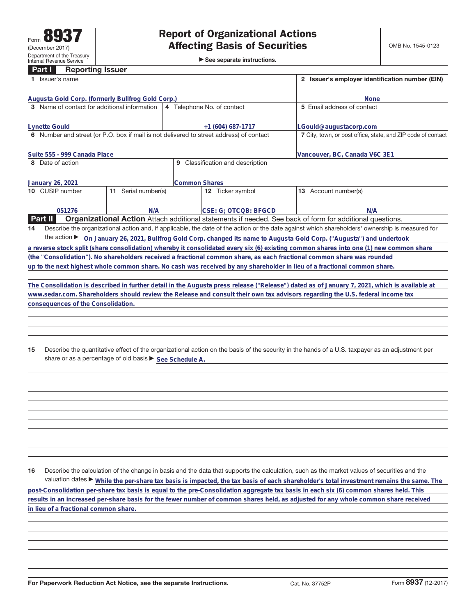| <b>Reporting Issuer</b><br><b>Part T</b>                                                                                       |                                                                                                                                  |                                                                                                                                                 |
|--------------------------------------------------------------------------------------------------------------------------------|----------------------------------------------------------------------------------------------------------------------------------|-------------------------------------------------------------------------------------------------------------------------------------------------|
| 1 Issuer's name                                                                                                                |                                                                                                                                  | 2 Issuer's employer identification number (EIN)                                                                                                 |
| Augusta Gold Corp. (formerly Bullfrog Gold Corp.)                                                                              |                                                                                                                                  | <b>None</b>                                                                                                                                     |
| 3 Name of contact for additional information                                                                                   | 4 Telephone No. of contact                                                                                                       | 5 Email address of contact                                                                                                                      |
| <b>Lynette Gould</b>                                                                                                           | $+1(604)687-1717$                                                                                                                | LGould@augustacorp.com                                                                                                                          |
| 6 Number and street (or P.O. box if mail is not delivered to street address) of contact                                        |                                                                                                                                  | 7 City, town, or post office, state, and ZIP code of contact                                                                                    |
| Suite 555 - 999 Canada Place                                                                                                   |                                                                                                                                  | Vancouver, BC, Canada V6C 3E1                                                                                                                   |
| 8 Date of action                                                                                                               | 9 Classification and description                                                                                                 |                                                                                                                                                 |
| January 26, 2021                                                                                                               | <b>Common Shares</b>                                                                                                             |                                                                                                                                                 |
| 10 CUSIP number<br>11 Serial number(s)                                                                                         | 12 Ticker symbol                                                                                                                 | 13 Account number(s)                                                                                                                            |
|                                                                                                                                |                                                                                                                                  |                                                                                                                                                 |
| 051276<br>N/A<br>Part II                                                                                                       | CSE: G; OTCQB: BFGCD<br>Organizational Action Attach additional statements if needed. See back of form for additional questions. | N/A                                                                                                                                             |
| 14                                                                                                                             |                                                                                                                                  | Describe the organizational action and, if applicable, the date of the action or the date against which shareholders' ownership is measured for |
|                                                                                                                                |                                                                                                                                  |                                                                                                                                                 |
|                                                                                                                                |                                                                                                                                  | the action ► On January 26, 2021, Bullfrog Gold Corp. changed its name to Augusta Gold Corp. ("Augusta") and undertook                          |
|                                                                                                                                |                                                                                                                                  | a reverse stock split (share consolidation) whereby it consolidated every six (6) existing common shares into one (1) new common share          |
| (the "Consolidation"). No shareholders received a fractional common share, as each fractional common share was rounded         |                                                                                                                                  |                                                                                                                                                 |
| up to the next highest whole common share. No cash was received by any shareholder in lieu of a fractional common share.       |                                                                                                                                  |                                                                                                                                                 |
|                                                                                                                                |                                                                                                                                  | The Consolidation is described in further detail in the Augusta press release ("Release") dated as of January 7, 2021, which is available at    |
| www.sedar.com. Shareholders should review the Release and consult their own tax advisors regarding the U.S. federal income tax |                                                                                                                                  |                                                                                                                                                 |
| consequences of the Consolidation.                                                                                             |                                                                                                                                  |                                                                                                                                                 |
|                                                                                                                                |                                                                                                                                  |                                                                                                                                                 |
|                                                                                                                                |                                                                                                                                  |                                                                                                                                                 |
|                                                                                                                                |                                                                                                                                  |                                                                                                                                                 |
| 15                                                                                                                             |                                                                                                                                  | Describe the quantitative effect of the organizational action on the basis of the security in the hands of a U.S. taxpayer as an adjustment per |
| share or as a percentage of old basis > See Schedule A.                                                                        |                                                                                                                                  |                                                                                                                                                 |
|                                                                                                                                |                                                                                                                                  |                                                                                                                                                 |
|                                                                                                                                |                                                                                                                                  |                                                                                                                                                 |
|                                                                                                                                |                                                                                                                                  |                                                                                                                                                 |
|                                                                                                                                |                                                                                                                                  |                                                                                                                                                 |
|                                                                                                                                |                                                                                                                                  |                                                                                                                                                 |
|                                                                                                                                |                                                                                                                                  |                                                                                                                                                 |
|                                                                                                                                |                                                                                                                                  |                                                                                                                                                 |
|                                                                                                                                |                                                                                                                                  |                                                                                                                                                 |

**16** Describe the calculation of the change in basis and the data that supports the calculation, such as the market values of securities and the valuation dates ► While the per-share tax basis is impacted, the tax basis of each shareholder's total investment remains the same. The **post-Consolidation per-share tax basis is equal to the pre-Consolidation aggregate tax basis in each six (6) common shares held. This results in an increased per-share basis for the fewer number of common shares held, as adjusted for any whole common share received in lieu of a fractional common share.**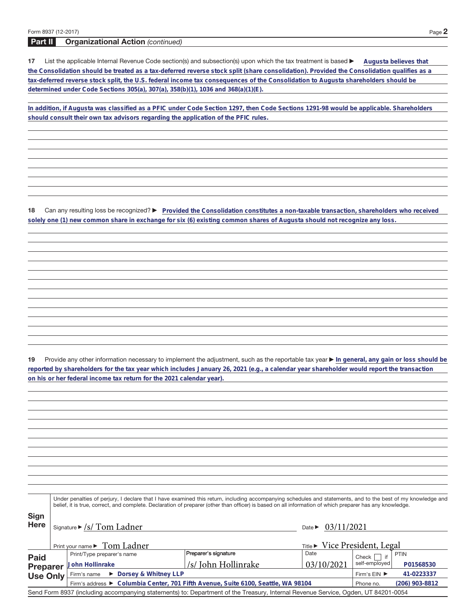**Part II Organizational Action** (continued)

17 List the applicable Internal Revenue Code section(s) and subsection(s) upon which the tax treatment is based  $\blacktriangleright$ **Augusta believes that the Consolidation should be treated as a tax-deferred reverse stock split (share consolidation). Provided the Consolidation qualifies as a tax-deferred reverse stock split, the U.S. federal income tax consequences of the Consolidation to Augusta shareholders should be determined under Code Sections 305(a), 307(a), 358(b)(1), 1036 and 368(a)(1)(E).**

**In addition, if Augusta was classified as a PFIC under Code Section 1297, then Code Sections 1291-98 would be applicable. Shareholders should consult their own tax advisors regarding the application of the PFIC rules.**

18 Can any resulting loss be recognized? **P** Provided the Consolidation constitutes a non-taxable transaction, shareholders who received **solely one (1) new common share in exchange for six (6) existing common shares of Augusta should not recognize any loss.**

**19** Provide any other information necessary to implement the adjustment, such as the reportable tax year ▶ In general, any gain or loss should be **reported by shareholders for the tax year which includes January 26, 2021 (e.g., a calendar year shareholder would report the transaction on his or her federal income tax return for the 2021 calendar year).**

**Sign Here** Under penalties of perjury, I declare that I have examined this return, including accompanying schedules and statements, and to the best of my knowledge and belief, it is true, correct, and complete. Declaration of preparer (other than officer) is based on all information of which preparer has any knowledge. Signature  $\triangleright$  /s/ Tom Ladner Print your name > Tom Ladner **Paid Preparer Use Only** Print/Type preparer's name **Preparer's signature** Date Date Check if if self-employed PTIN Firm's name Firm's address a **Columbia Center, 701 Fifth Avenue, Suite 6100, Seattle, WA 98104** Firm's  $EIN$ Phone no. Send Form 8937 (including accompanying statements) to: Department of the Treasury, Internal Revenue Service, Ogden, UT 84201-0054 **John Hollinrake P01568530** /s/ John Hollinrake 03/10/2021 ▶ Dorsey & Whitney LLP **41-0223337 (206) 903-8812** Date  $\triangleright$  03/11/2021 Preparer's signature  $Ti the \triangleright$  Vice President, Legal